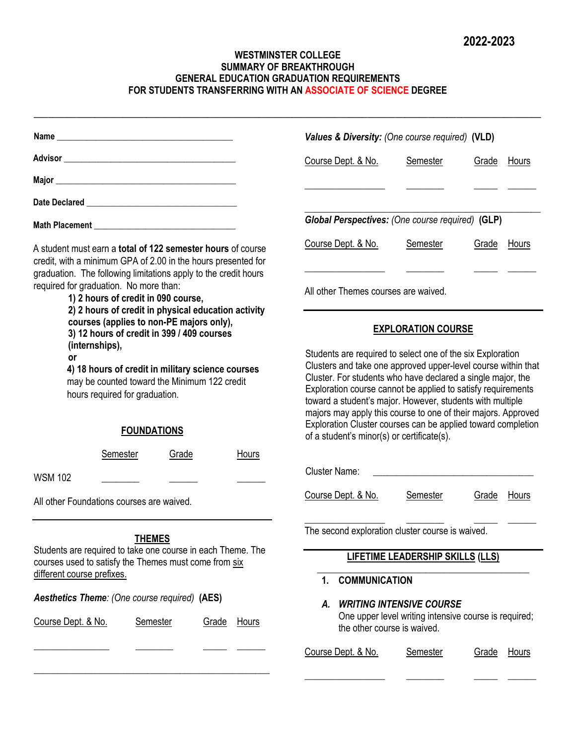## **WESTMINSTER COLLEGE SUMMARY OF BREAKTHROUGH GENERAL EDUCATION GRADUATION REQUIREMENTS FOR STUDENTS TRANSFERRING WITH AN ASSOCIATE OF SCIENCE DEGREE**

**\_\_\_\_\_\_\_\_\_\_\_\_\_\_\_\_\_\_\_\_\_\_\_\_\_\_\_\_\_\_\_\_\_\_\_\_\_\_\_\_\_\_\_\_\_\_\_\_\_\_\_\_\_\_\_\_\_\_\_\_\_\_\_\_\_\_\_\_\_\_\_\_\_\_\_\_\_\_\_\_\_\_\_\_\_\_\_\_\_\_\_\_\_\_\_\_\_\_\_\_\_\_\_\_\_\_\_\_**

|                                                                                                                                                                                                 | Values & Diversity: (One course required) (VLD)                                                                                                                                                                                                                                                                                                                                                                                                                                                        |                                                                                          |              |              |
|-------------------------------------------------------------------------------------------------------------------------------------------------------------------------------------------------|--------------------------------------------------------------------------------------------------------------------------------------------------------------------------------------------------------------------------------------------------------------------------------------------------------------------------------------------------------------------------------------------------------------------------------------------------------------------------------------------------------|------------------------------------------------------------------------------------------|--------------|--------------|
|                                                                                                                                                                                                 | Course Dept. & No.                                                                                                                                                                                                                                                                                                                                                                                                                                                                                     | Semester                                                                                 | <b>Grade</b> | Hours        |
|                                                                                                                                                                                                 |                                                                                                                                                                                                                                                                                                                                                                                                                                                                                                        |                                                                                          |              |              |
|                                                                                                                                                                                                 |                                                                                                                                                                                                                                                                                                                                                                                                                                                                                                        |                                                                                          |              |              |
|                                                                                                                                                                                                 | Global Perspectives: (One course required) (GLP)                                                                                                                                                                                                                                                                                                                                                                                                                                                       |                                                                                          |              |              |
| A student must earn a total of 122 semester hours of course<br>credit, with a minimum GPA of 2.00 in the hours presented for<br>graduation. The following limitations apply to the credit hours | Course Dept. & No.                                                                                                                                                                                                                                                                                                                                                                                                                                                                                     | Semester                                                                                 | Grade        | Hours        |
| required for graduation. No more than:<br>1) 2 hours of credit in 090 course,<br>2) 2 hours of credit in physical education activity                                                            | All other Themes courses are waived.                                                                                                                                                                                                                                                                                                                                                                                                                                                                   |                                                                                          |              |              |
| courses (applies to non-PE majors only),<br>3) 12 hours of credit in 399 / 409 courses                                                                                                          |                                                                                                                                                                                                                                                                                                                                                                                                                                                                                                        | <b>EXPLORATION COURSE</b>                                                                |              |              |
| (internships),<br><b>or</b><br>4) 18 hours of credit in military science courses<br>may be counted toward the Minimum 122 credit<br>hours required for graduation.<br><b>FOUNDATIONS</b>        | Students are required to select one of the six Exploration<br>Clusters and take one approved upper-level course within that<br>Cluster. For students who have declared a single major, the<br>Exploration course cannot be applied to satisfy requirements<br>toward a student's major. However, students with multiple<br>majors may apply this course to one of their majors. Approved<br>Exploration Cluster courses can be applied toward completion<br>of a student's minor(s) or certificate(s). |                                                                                          |              |              |
| Semester<br>Grade<br>Hours<br><b>WSM 102</b>                                                                                                                                                    | <b>Cluster Name:</b>                                                                                                                                                                                                                                                                                                                                                                                                                                                                                   | <u> 2002 - Jan James James Barnett, fizik eta idazleari zuen 19</u>                      |              |              |
| All other Foundations courses are waived.                                                                                                                                                       | Course Dept. & No.                                                                                                                                                                                                                                                                                                                                                                                                                                                                                     | Semester                                                                                 | Grade        | Hours        |
| <b>THEMES</b><br>Students are required to take one course in each Theme. The                                                                                                                    | The second exploration cluster course is waived.                                                                                                                                                                                                                                                                                                                                                                                                                                                       |                                                                                          |              |              |
| courses used to satisfy the Themes must come from six<br>different course prefixes.                                                                                                             | <b>COMMUNICATION</b><br>1.                                                                                                                                                                                                                                                                                                                                                                                                                                                                             | <b>LIFETIME LEADERSHIP SKILLS (LLS)</b>                                                  |              |              |
| Aesthetics Theme: (One course required) (AES)<br>Course Dept. & No.<br><b>Semester</b><br><b>Grade</b><br><u>Hours</u>                                                                          | А.<br>the other course is waived.                                                                                                                                                                                                                                                                                                                                                                                                                                                                      | <b>WRITING INTENSIVE COURSE</b><br>One upper level writing intensive course is required; |              |              |
|                                                                                                                                                                                                 | Course Dept. & No.                                                                                                                                                                                                                                                                                                                                                                                                                                                                                     | <b>Semester</b>                                                                          | Grade        | <b>Hours</b> |
|                                                                                                                                                                                                 |                                                                                                                                                                                                                                                                                                                                                                                                                                                                                                        |                                                                                          |              |              |